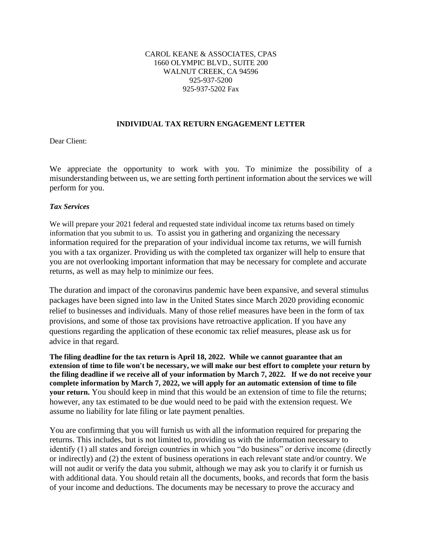#### CAROL KEANE & ASSOCIATES, CPAS 1660 OLYMPIC BLVD., SUITE 200 WALNUT CREEK, CA 94596 925-937-5200 925-937-5202 Fax

#### **INDIVIDUAL TAX RETURN ENGAGEMENT LETTER**

Dear Client:

We appreciate the opportunity to work with you. To minimize the possibility of a misunderstanding between us, we are setting forth pertinent information about the services we will perform for you.

## *Tax Services*

We will prepare your 2021 federal and requested state individual income tax returns based on timely information that you submit to us. To assist you in gathering and organizing the necessary information required for the preparation of your individual income tax returns, we will furnish you with a tax organizer. Providing us with the completed tax organizer will help to ensure that you are not overlooking important information that may be necessary for complete and accurate returns, as well as may help to minimize our fees.

The duration and impact of the coronavirus pandemic have been expansive, and several stimulus packages have been signed into law in the United States since March 2020 providing economic relief to businesses and individuals. Many of those relief measures have been in the form of tax provisions, and some of those tax provisions have retroactive application. If you have any questions regarding the application of these economic tax relief measures, please ask us for advice in that regard.

**The filing deadline for the tax return is April 18, 2022. While we cannot guarantee that an extension of time to file won't be necessary, we will make our best effort to complete your return by the filing deadline if we receive all of your information by March 7, 2022. If we do not receive your complete information by March 7, 2022, we will apply for an automatic extension of time to file your return.** You should keep in mind that this would be an extension of time to file the returns; however, any tax estimated to be due would need to be paid with the extension request. We assume no liability for late filing or late payment penalties.

You are confirming that you will furnish us with all the information required for preparing the returns. This includes, but is not limited to, providing us with the information necessary to identify (1) all states and foreign countries in which you "do business" or derive income (directly or indirectly) and (2) the extent of business operations in each relevant state and/or country. We will not audit or verify the data you submit, although we may ask you to clarify it or furnish us with additional data. You should retain all the documents, books, and records that form the basis of your income and deductions. The documents may be necessary to prove the accuracy and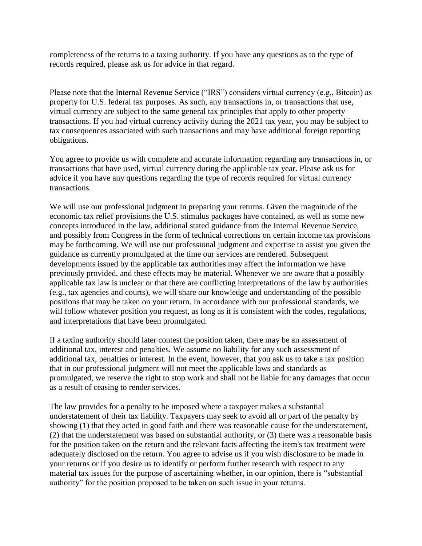completeness of the returns to a taxing authority. If you have any questions as to the type of records required, please ask us for advice in that regard.

Please note that the Internal Revenue Service ("IRS") considers virtual currency (e.g., Bitcoin) as property for U.S. federal tax purposes. As such, any transactions in, or transactions that use, virtual currency are subject to the same general tax principles that apply to other property transactions. If you had virtual currency activity during the 2021 tax year, you may be subject to tax consequences associated with such transactions and may have additional foreign reporting obligations.

You agree to provide us with complete and accurate information regarding any transactions in, or transactions that have used, virtual currency during the applicable tax year. Please ask us for advice if you have any questions regarding the type of records required for virtual currency transactions.

We will use our professional judgment in preparing your returns. Given the magnitude of the economic tax relief provisions the U.S. stimulus packages have contained, as well as some new concepts introduced in the law, additional stated guidance from the Internal Revenue Service, and possibly from Congress in the form of technical corrections on certain income tax provisions may be forthcoming. We will use our professional judgment and expertise to assist you given the guidance as currently promulgated at the time our services are rendered. Subsequent developments issued by the applicable tax authorities may affect the information we have previously provided, and these effects may be material. Whenever we are aware that a possibly applicable tax law is unclear or that there are conflicting interpretations of the law by authorities (e.g., tax agencies and courts), we will share our knowledge and understanding of the possible positions that may be taken on your return. In accordance with our professional standards, we will follow whatever position you request, as long as it is consistent with the codes, regulations, and interpretations that have been promulgated.

If a taxing authority should later contest the position taken, there may be an assessment of additional tax, interest and penalties. We assume no liability for any such assessment of additional tax, penalties or interest. In the event, however, that you ask us to take a tax position that in our professional judgment will not meet the applicable laws and standards as promulgated, we reserve the right to stop work and shall not be liable for any damages that occur as a result of ceasing to render services.

The law provides for a penalty to be imposed where a taxpayer makes a substantial understatement of their tax liability. Taxpayers may seek to avoid all or part of the penalty by showing (1) that they acted in good faith and there was reasonable cause for the understatement, (2) that the understatement was based on substantial authority, or (3) there was a reasonable basis for the position taken on the return and the relevant facts affecting the item's tax treatment were adequately disclosed on the return. You agree to advise us if you wish disclosure to be made in your returns or if you desire us to identify or perform further research with respect to any material tax issues for the purpose of ascertaining whether, in our opinion, there is "substantial authority" for the position proposed to be taken on such issue in your returns.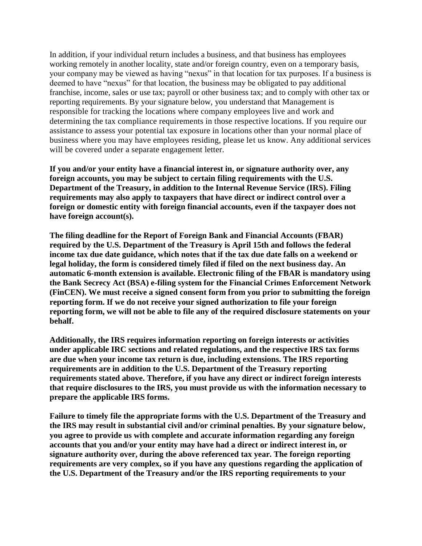In addition, if your individual return includes a business, and that business has employees working remotely in another locality, state and/or foreign country, even on a temporary basis, your company may be viewed as having "nexus" in that location for tax purposes. If a business is deemed to have "nexus" for that location, the business may be obligated to pay additional franchise, income, sales or use tax; payroll or other business tax; and to comply with other tax or reporting requirements. By your signature below, you understand that Management is responsible for tracking the locations where company employees live and work and determining the tax compliance requirements in those respective locations. If you require our assistance to assess your potential tax exposure in locations other than your normal place of business where you may have employees residing, please let us know. Any additional services will be covered under a separate engagement letter.

**If you and/or your entity have a financial interest in, or signature authority over, any foreign accounts, you may be subject to certain filing requirements with the U.S. Department of the Treasury, in addition to the Internal Revenue Service (IRS). Filing requirements may also apply to taxpayers that have direct or indirect control over a foreign or domestic entity with foreign financial accounts, even if the taxpayer does not have foreign account(s).** 

**The filing deadline for the Report of Foreign Bank and Financial Accounts (FBAR) required by the U.S. Department of the Treasury is April 15th and follows the federal income tax due date guidance, which notes that if the tax due date falls on a weekend or legal holiday, the form is considered timely filed if filed on the next business day. An automatic 6-month extension is available. Electronic filing of the FBAR is mandatory using the Bank Secrecy Act (BSA) e-filing system for the Financial Crimes Enforcement Network (FinCEN). We must receive a signed consent form from you prior to submitting the foreign reporting form. If we do not receive your signed authorization to file your foreign reporting form, we will not be able to file any of the required disclosure statements on your behalf.** 

**Additionally, the IRS requires information reporting on foreign interests or activities under applicable IRC sections and related regulations, and the respective IRS tax forms are due when your income tax return is due, including extensions. The IRS reporting requirements are in addition to the U.S. Department of the Treasury reporting requirements stated above. Therefore, if you have any direct or indirect foreign interests that require disclosures to the IRS, you must provide us with the information necessary to prepare the applicable IRS forms.** 

**Failure to timely file the appropriate forms with the U.S. Department of the Treasury and the IRS may result in substantial civil and/or criminal penalties. By your signature below, you agree to provide us with complete and accurate information regarding any foreign accounts that you and/or your entity may have had a direct or indirect interest in, or signature authority over, during the above referenced tax year. The foreign reporting requirements are very complex, so if you have any questions regarding the application of the U.S. Department of the Treasury and/or the IRS reporting requirements to your**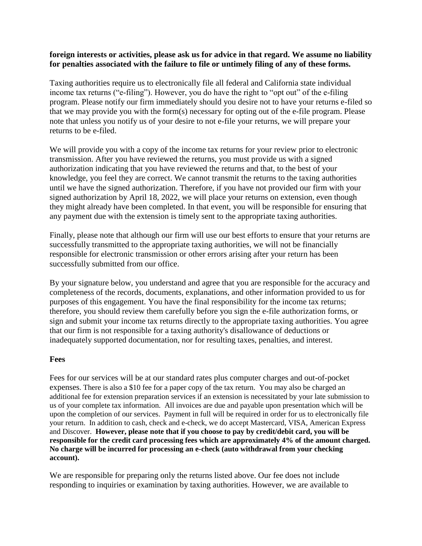## **foreign interests or activities, please ask us for advice in that regard. We assume no liability for penalties associated with the failure to file or untimely filing of any of these forms.**

Taxing authorities require us to electronically file all federal and California state individual income tax returns ("e-filing"). However, you do have the right to "opt out" of the e-filing program. Please notify our firm immediately should you desire not to have your returns e-filed so that we may provide you with the form(s) necessary for opting out of the e-file program. Please note that unless you notify us of your desire to not e-file your returns, we will prepare your returns to be e-filed.

We will provide you with a copy of the income tax returns for your review prior to electronic transmission. After you have reviewed the returns, you must provide us with a signed authorization indicating that you have reviewed the returns and that, to the best of your knowledge, you feel they are correct. We cannot transmit the returns to the taxing authorities until we have the signed authorization. Therefore, if you have not provided our firm with your signed authorization by April 18, 2022, we will place your returns on extension, even though they might already have been completed. In that event, you will be responsible for ensuring that any payment due with the extension is timely sent to the appropriate taxing authorities.

Finally, please note that although our firm will use our best efforts to ensure that your returns are successfully transmitted to the appropriate taxing authorities, we will not be financially responsible for electronic transmission or other errors arising after your return has been successfully submitted from our office.

By your signature below, you understand and agree that you are responsible for the accuracy and completeness of the records, documents, explanations, and other information provided to us for purposes of this engagement. You have the final responsibility for the income tax returns; therefore, you should review them carefully before you sign the e-file authorization forms, or sign and submit your income tax returns directly to the appropriate taxing authorities. You agree that our firm is not responsible for a taxing authority's disallowance of deductions or inadequately supported documentation, nor for resulting taxes, penalties, and interest.

### **Fees**

Fees for our services will be at our standard rates plus computer charges and out-of-pocket expenses. There is also a \$10 fee for a paper copy of the tax return. You may also be charged an additional fee for extension preparation services if an extension is necessitated by your late submission to us of your complete tax information.All invoices are due and payable upon presentation which will be upon the completion of our services. Payment in full will be required in order for us to electronically file your return. In addition to cash, check and e-check, we do accept Mastercard, VISA, American Express and Discover. **However, please note that if you choose to pay by credit/debit card, you will be responsible for the credit card processing fees which are approximately 4% of the amount charged. No charge will be incurred for processing an e-check (auto withdrawal from your checking account).**

We are responsible for preparing only the returns listed above. Our fee does not include responding to inquiries or examination by taxing authorities. However, we are available to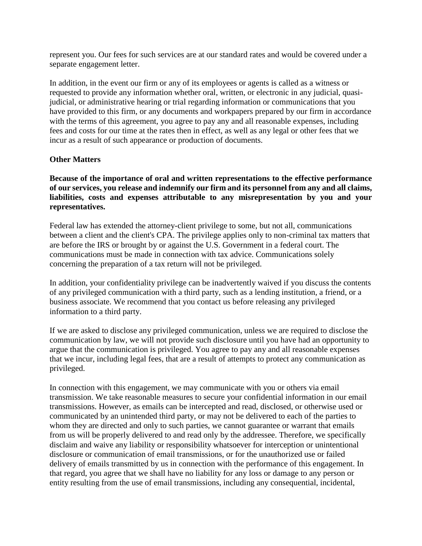represent you. Our fees for such services are at our standard rates and would be covered under a separate engagement letter.

In addition, in the event our firm or any of its employees or agents is called as a witness or requested to provide any information whether oral, written, or electronic in any judicial, quasijudicial, or administrative hearing or trial regarding information or communications that you have provided to this firm, or any documents and workpapers prepared by our firm in accordance with the terms of this agreement, you agree to pay any and all reasonable expenses, including fees and costs for our time at the rates then in effect, as well as any legal or other fees that we incur as a result of such appearance or production of documents.

## **Other Matters**

**Because of the importance of oral and written representations to the effective performance of our services, you release and indemnify our firm and its personnel from any and all claims, liabilities, costs and expenses attributable to any misrepresentation by you and your representatives.**

Federal law has extended the attorney-client privilege to some, but not all, communications between a client and the client's CPA. The privilege applies only to non-criminal tax matters that are before the IRS or brought by or against the U.S. Government in a federal court. The communications must be made in connection with tax advice. Communications solely concerning the preparation of a tax return will not be privileged.

In addition, your confidentiality privilege can be inadvertently waived if you discuss the contents of any privileged communication with a third party, such as a lending institution, a friend, or a business associate. We recommend that you contact us before releasing any privileged information to a third party.

If we are asked to disclose any privileged communication, unless we are required to disclose the communication by law, we will not provide such disclosure until you have had an opportunity to argue that the communication is privileged. You agree to pay any and all reasonable expenses that we incur, including legal fees, that are a result of attempts to protect any communication as privileged.

In connection with this engagement, we may communicate with you or others via email transmission. We take reasonable measures to secure your confidential information in our email transmissions. However, as emails can be intercepted and read, disclosed, or otherwise used or communicated by an unintended third party, or may not be delivered to each of the parties to whom they are directed and only to such parties, we cannot guarantee or warrant that emails from us will be properly delivered to and read only by the addressee. Therefore, we specifically disclaim and waive any liability or responsibility whatsoever for interception or unintentional disclosure or communication of email transmissions, or for the unauthorized use or failed delivery of emails transmitted by us in connection with the performance of this engagement. In that regard, you agree that we shall have no liability for any loss or damage to any person or entity resulting from the use of email transmissions, including any consequential, incidental,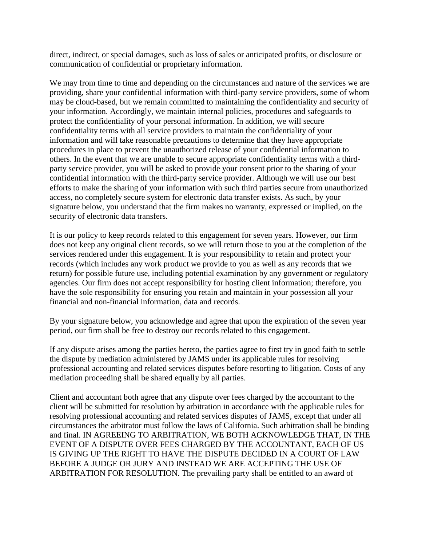direct, indirect, or special damages, such as loss of sales or anticipated profits, or disclosure or communication of confidential or proprietary information.

We may from time to time and depending on the circumstances and nature of the services we are providing, share your confidential information with third-party service providers, some of whom may be cloud-based, but we remain committed to maintaining the confidentiality and security of your information. Accordingly, we maintain internal policies, procedures and safeguards to protect the confidentiality of your personal information. In addition, we will secure confidentiality terms with all service providers to maintain the confidentiality of your information and will take reasonable precautions to determine that they have appropriate procedures in place to prevent the unauthorized release of your confidential information to others. In the event that we are unable to secure appropriate confidentiality terms with a thirdparty service provider, you will be asked to provide your consent prior to the sharing of your confidential information with the third-party service provider. Although we will use our best efforts to make the sharing of your information with such third parties secure from unauthorized access, no completely secure system for electronic data transfer exists. As such, by your signature below, you understand that the firm makes no warranty, expressed or implied, on the security of electronic data transfers.

It is our policy to keep records related to this engagement for seven years. However, our firm does not keep any original client records, so we will return those to you at the completion of the services rendered under this engagement. It is your responsibility to retain and protect your records (which includes any work product we provide to you as well as any records that we return) for possible future use, including potential examination by any government or regulatory agencies. Our firm does not accept responsibility for hosting client information; therefore, you have the sole responsibility for ensuring you retain and maintain in your possession all your financial and non-financial information, data and records.

By your signature below, you acknowledge and agree that upon the expiration of the seven year period, our firm shall be free to destroy our records related to this engagement.

If any dispute arises among the parties hereto, the parties agree to first try in good faith to settle the dispute by mediation administered by JAMS under its applicable rules for resolving professional accounting and related services disputes before resorting to litigation. Costs of any mediation proceeding shall be shared equally by all parties.

Client and accountant both agree that any dispute over fees charged by the accountant to the client will be submitted for resolution by arbitration in accordance with the applicable rules for resolving professional accounting and related services disputes of JAMS, except that under all circumstances the arbitrator must follow the laws of California. Such arbitration shall be binding and final. IN AGREEING TO ARBITRATION, WE BOTH ACKNOWLEDGE THAT, IN THE EVENT OF A DISPUTE OVER FEES CHARGED BY THE ACCOUNTANT, EACH OF US IS GIVING UP THE RIGHT TO HAVE THE DISPUTE DECIDED IN A COURT OF LAW BEFORE A JUDGE OR JURY AND INSTEAD WE ARE ACCEPTING THE USE OF ARBITRATION FOR RESOLUTION. The prevailing party shall be entitled to an award of